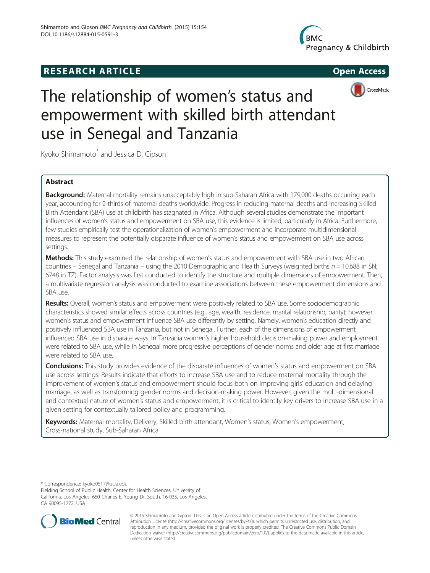## **RESEARCH ARTICLE Example 2014 CONSIDERING CONSIDERING CONSIDERING CONSIDERING CONSIDERING CONSIDERING CONSIDERING CONSIDERING CONSIDERING CONSIDERING CONSIDERING CONSIDERING CONSIDERING CONSIDERING CONSIDERING CONSIDE**







# The relationship of women's status and empowerment with skilled birth attendant use in Senegal and Tanzania

Kyoko Shimamoto<sup>\*</sup> and Jessica D. Gipson

### Abstract

Background: Maternal mortality remains unacceptably high in sub-Saharan Africa with 179,000 deaths occurring each year, accounting for 2-thirds of maternal deaths worldwide. Progress in reducing maternal deaths and increasing Skilled Birth Attendant (SBA) use at childbirth has stagnated in Africa. Although several studies demonstrate the important influences of women's status and empowerment on SBA use, this evidence is limited, particularly in Africa. Furthermore, few studies empirically test the operationalization of women's empowerment and incorporate multidimensional measures to represent the potentially disparate influence of women's status and empowerment on SBA use across settings.

Methods: This study examined the relationship of women's status and empowerment with SBA use in two African countries – Senegal and Tanzania – using the 2010 Demographic and Health Surveys (weighted births  $n = 10,688$  in SN; 6748 in TZ). Factor analysis was first conducted to identify the structure and multiple dimensions of empowerment. Then, a multivariate regression analysis was conducted to examine associations between these empowerment dimensions and SBA use.

Results: Overall, women's status and empowerment were positively related to SBA use. Some sociodemographic characteristics showed similar effects across countries (e.g., age, wealth, residence, marital relationship, parity); however, women's status and empowerment influence SBA use differently by setting. Namely, women's education directly and positively influenced SBA use in Tanzania, but not in Senegal. Further, each of the dimensions of empowerment influenced SBA use in disparate ways. In Tanzania women's higher household decision-making power and employment were related to SBA use, while in Senegal more progressive perceptions of gender norms and older age at first marriage were related to SBA use.

Conclusions: This study provides evidence of the disparate influences of women's status and empowerment on SBA use across settings. Results indicate that efforts to increase SBA use and to reduce maternal mortality through the improvement of women's status and empowerment should focus both on improving girls' education and delaying marriage, as well as transforming gender norms and decision-making power. However, given the multi-dimensional and contextual nature of women's status and empowerment, it is critical to identify key drivers to increase SBA use in a given setting for contextually tailored policy and programming.

Keywords: Maternal mortality, Delivery, Skilled birth attendant, Women's status, Women's empowerment, Cross-national study, Sub-Saharan Africa

\* Correspondence: [kyoko0517@ucla.edu](mailto:kyoko0517@ucla.edu)

Fielding School of Public Health, Center for Health Sciences, University of California, Los Angeles, 650 Charles E. Young Dr. South, 16-035, Los Angeles, CA 90095-1772, USA



© 2015 Shimamoto and Gipson. This is an Open Access article distributed under the terms of the Creative Commons Attribution License (<http://creativecommons.org/licenses/by/4.0>), which permits unrestricted use, distribution, and reproduction in any medium, provided the original work is properly credited. The Creative Commons Public Domain Dedication waiver [\(http://creativecommons.org/publicdomain/zero/1.0/](http://creativecommons.org/publicdomain/zero/1.0/)) applies to the data made available in this article, unless otherwise stated.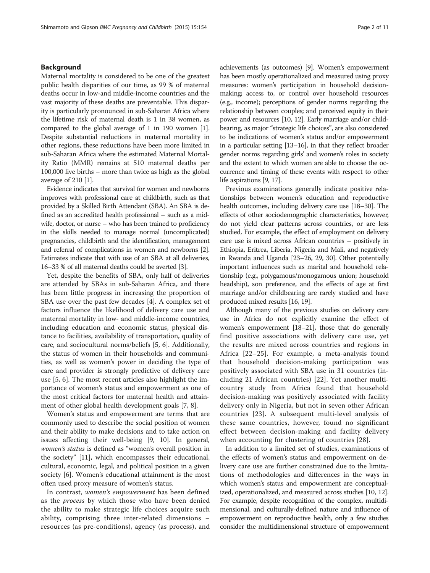#### Background

Maternal mortality is considered to be one of the greatest public health disparities of our time, as 99 % of maternal deaths occur in low-and middle-income countries and the vast majority of these deaths are preventable. This disparity is particularly pronounced in sub-Saharan Africa where the lifetime risk of maternal death is 1 in 38 women, as compared to the global average of 1 in 190 women [[1](#page-9-0)]. Despite substantial reductions in maternal mortality in other regions, these reductions have been more limited in sub-Saharan Africa where the estimated Maternal Mortality Ratio (MMR) remains at 510 maternal deaths per 100,000 live births – more than twice as high as the global average of 210 [[1](#page-9-0)].

Evidence indicates that survival for women and newborns improves with professional care at childbirth, such as that provided by a Skilled Birth Attendant (SBA). An SBA is defined as an accredited health professional – such as a midwife, doctor, or nurse – who has been trained to proficiency in the skills needed to manage normal (uncomplicated) pregnancies, childbirth and the identification, management and referral of complications in women and newborns [[2](#page-9-0)]. Estimates indicate that with use of an SBA at all deliveries, 16–33 % of all maternal deaths could be averted [\[3\]](#page-9-0).

Yet, despite the benefits of SBA, only half of deliveries are attended by SBAs in sub-Saharan Africa, and there has been little progress in increasing the proportion of SBA use over the past few decades [[4\]](#page-9-0). A complex set of factors influence the likelihood of delivery care use and maternal mortality in low- and middle-income countries, including education and economic status, physical distance to facilities, availability of transportation, quality of care, and sociocultural norms/beliefs [[5](#page-9-0), [6\]](#page-9-0). Additionally, the status of women in their households and communities, as well as women's power in deciding the type of care and provider is strongly predictive of delivery care use [\[5](#page-9-0), [6](#page-9-0)]. The most recent articles also highlight the importance of women's status and empowerment as one of the most critical factors for maternal health and attainment of other global health development goals [\[7, 8\]](#page-9-0).

Women's status and empowerment are terms that are commonly used to describe the social position of women and their ability to make decisions and to take action on issues affecting their well-being [\[9](#page-9-0), [10\]](#page-9-0). In general, women's status is defined as "women's overall position in the society" [[11\]](#page-9-0), which encompasses their educational, cultural, economic, legal, and political position in a given society [\[6\]](#page-9-0). Women's educational attainment is the most often used proxy measure of women's status.

In contrast, women's empowerment has been defined as the *process* by which those who have been denied the ability to make strategic life choices acquire such ability, comprising three inter-related dimensions – resources (as pre-conditions), agency (as process), and achievements (as outcomes) [[9\]](#page-9-0). Women's empowerment has been mostly operationalized and measured using proxy measures: women's participation in household decisionmaking; access to, or control over household resources (e.g., income); perceptions of gender norms regarding the relationship between couples; and perceived equity in their power and resources [\[10, 12](#page-9-0)]. Early marriage and/or childbearing, as major "strategic life choices", are also considered to be indications of women's status and/or empowerment in a particular setting [\[13](#page-9-0)–[16\]](#page-10-0), in that they reflect broader gender norms regarding girls' and women's roles in society and the extent to which women are able to choose the occurrence and timing of these events with respect to other life aspirations [[9](#page-9-0), [17](#page-10-0)].

Previous examinations generally indicate positive relationships between women's education and reproductive health outcomes, including delivery care use [\[18](#page-10-0)–[30](#page-10-0)]. The effects of other sociodemographic characteristics, however, do not yield clear patterns across countries, or are less studied. For example, the effect of employment on delivery care use is mixed across African countries – positively in Ethiopia, Eritrea, Liberia, Nigeria and Mali, and negatively in Rwanda and Uganda [\[23](#page-10-0)–[26](#page-10-0), [29](#page-10-0), [30](#page-10-0)]. Other potentially important influences such as marital and household relationship (e.g., polygamous/monogamous union; household headship), son preference, and the effects of age at first marriage and/or childbearing are rarely studied and have produced mixed results [\[16, 19\]](#page-10-0).

Although many of the previous studies on delivery care use in Africa do not explicitly examine the effect of women's empowerment [\[18](#page-10-0)–[21\]](#page-10-0), those that do generally find positive associations with delivery care use, yet the results are mixed across countries and regions in Africa [[22](#page-10-0)–[25](#page-10-0)]. For example, a meta-analysis found that household decision-making participation was positively associated with SBA use in 31 countries (including 21 African countries) [[22\]](#page-10-0). Yet another multicountry study from Africa found that household decision-making was positively associated with facility delivery only in Nigeria, but not in seven other African countries [\[23](#page-10-0)]. A subsequent multi-level analysis of these same countries, however, found no significant effect between decision-making and facility delivery when accounting for clustering of countries [\[28\]](#page-10-0).

In addition to a limited set of studies, examinations of the effects of women's status and empowerment on delivery care use are further constrained due to the limitations of methodologies and differences in the ways in which women's status and empowerment are conceptualized, operationalized, and measured across studies [\[10, 12](#page-9-0)]. For example, despite recognition of the complex, multidimensional, and culturally-defined nature and influence of empowerment on reproductive health, only a few studies consider the multidimensional structure of empowerment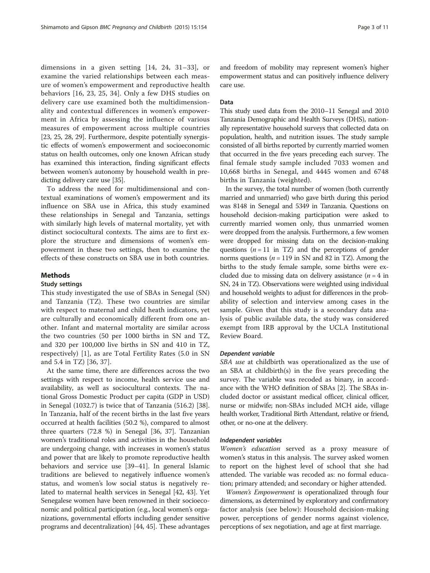dimensions in a given setting [[14, 24, 31](#page-10-0)–[33](#page-10-0)], or examine the varied relationships between each measure of women's empowerment and reproductive health behaviors [[16](#page-10-0), [23](#page-10-0), [25, 34\]](#page-10-0). Only a few DHS studies on delivery care use examined both the multidimensionality and contextual differences in women's empowerment in Africa by assessing the influence of various measures of empowerment across multiple countries [[23](#page-10-0), [25](#page-10-0), [28](#page-10-0), [29\]](#page-10-0). Furthermore, despite potentially synergistic effects of women's empowerment and socioeconomic status on health outcomes, only one known African study has examined this interaction, finding significant effects between women's autonomy by household wealth in predicting delivery care use [\[35](#page-10-0)].

To address the need for multidimensional and contextual examinations of women's empowerment and its influence on SBA use in Africa, this study examined these relationships in Senegal and Tanzania, settings with similarly high levels of maternal mortality, yet with distinct sociocultural contexts. The aims are to first explore the structure and dimensions of women's empowerment in these two settings, then to examine the effects of these constructs on SBA use in both countries.

#### Methods

#### Study settings

This study investigated the use of SBAs in Senegal (SN) and Tanzania (TZ). These two countries are similar with respect to maternal and child heath indicators, yet are culturally and economically different from one another. Infant and maternal mortality are similar across the two countries (50 per 1000 births in SN and TZ, and 320 per 100,000 live births in SN and 410 in TZ, respectively) [[1\]](#page-9-0), as are Total Fertility Rates (5.0 in SN and 5.4 in TZ) [[36, 37\]](#page-10-0).

At the same time, there are differences across the two settings with respect to income, health service use and availability, as well as sociocultural contexts. The national Gross Domestic Product per capita (GDP in USD) in Senegal (1032.7) is twice that of Tanzania (516.2) [\[38](#page-10-0)]. In Tanzania, half of the recent births in the last five years occurred at health facilities (50.2 %), compared to almost three quarters (72.8 %) in Senegal [[36, 37](#page-10-0)]. Tanzanian women's traditional roles and activities in the household are undergoing change, with increases in women's status and power that are likely to promote reproductive health behaviors and service use [\[39](#page-10-0)–[41\]](#page-10-0). In general Islamic traditions are believed to negatively influence women's status, and women's low social status is negatively related to maternal health services in Senegal [\[42, 43](#page-10-0)]. Yet Senegalese women have been renowned in their socioeconomic and political participation (e.g., local women's organizations, governmental efforts including gender sensitive programs and decentralization) [\[44, 45](#page-10-0)]. These advantages and freedom of mobility may represent women's higher empowerment status and can positively influence delivery care use.

#### Data

This study used data from the 2010–11 Senegal and 2010 Tanzania Demographic and Health Surveys (DHS), nationally representative household surveys that collected data on population, health, and nutrition issues. The study sample consisted of all births reported by currently married women that occurred in the five years preceding each survey. The final female study sample included 7033 women and 10,668 births in Senegal, and 4445 women and 6748 births in Tanzania (weighted).

In the survey, the total number of women (both currently married and unmarried) who gave birth during this period was 8148 in Senegal and 5349 in Tanzania. Questions on household decision-making participation were asked to currently married women only, thus unmarried women were dropped from the analysis. Furthermore, a few women were dropped for missing data on the decision-making questions ( $n = 11$  in TZ) and the perceptions of gender norms questions ( $n = 119$  in SN and 82 in TZ). Among the births to the study female sample, some births were excluded due to missing data on delivery assistance  $(n = 4$  in SN, 24 in TZ). Observations were weighted using individual and household weights to adjust for differences in the probability of selection and interview among cases in the sample. Given that this study is a secondary data analysis of public available data, the study was considered exempt from IRB approval by the UCLA Institutional Review Board.

#### Dependent variable

SBA use at childbirth was operationalized as the use of an SBA at childbirth(s) in the five years preceding the survey. The variable was recoded as binary, in accordance with the WHO definition of SBAs [[2](#page-9-0)]. The SBAs included doctor or assistant medical officer, clinical officer, nurse or midwife; non-SBAs included MCH aide, village health worker, Traditional Birth Attendant, relative or friend, other, or no-one at the delivery.

#### Independent variables

Women's education served as a proxy measure of women's status in this analysis. The survey asked women to report on the highest level of school that she had attended. The variable was recoded as: no formal education; primary attended; and secondary or higher attended.

Women's Empowerment is operationalized through four dimensions, as determined by exploratory and confirmatory factor analysis (see below): Household decision-making power, perceptions of gender norms against violence, perceptions of sex negotiation, and age at first marriage.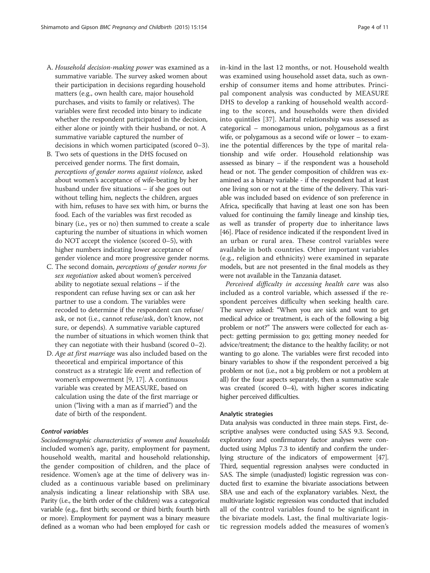- A. Household decision-making power was examined as a summative variable. The survey asked women about their participation in decisions regarding household matters (e.g., own health care, major household purchases, and visits to family or relatives). The variables were first recoded into binary to indicate whether the respondent participated in the decision, either alone or jointly with their husband, or not. A summative variable captured the number of decisions in which women participated (scored 0–3).
- B. Two sets of questions in the DHS focused on perceived gender norms. The first domain, perceptions of gender norms against violence, asked about women's acceptance of wife-beating by her husband under five situations – if she goes out without telling him, neglects the children, argues with him, refuses to have sex with him, or burns the food. Each of the variables was first recoded as binary (i.e., yes or no) then summed to create a scale capturing the number of situations in which women do NOT accept the violence (scored 0–5), with higher numbers indicating lower acceptance of gender violence and more progressive gender norms.
- C. The second domain, perceptions of gender norms for sex negotiation asked about women's perceived ability to negotiate sexual relations – if the respondent can refuse having sex or can ask her partner to use a condom. The variables were recoded to determine if the respondent can refuse/ ask, or not (i.e., cannot refuse/ask, don't know, not sure, or depends). A summative variable captured the number of situations in which women think that they can negotiate with their husband (scored 0–2).
- D. Age at first marriage was also included based on the theoretical and empirical importance of this construct as a strategic life event and reflection of women's empowerment [[9,](#page-9-0) [17\]](#page-10-0). A continuous variable was created by MEASURE, based on calculation using the date of the first marriage or union ("living with a man as if married") and the date of birth of the respondent.

#### Control variables

Sociodemographic characteristics of women and households included women's age, parity, employment for payment, household wealth, marital and household relationship, the gender composition of children, and the place of residence. Women's age at the time of delivery was included as a continuous variable based on preliminary analysis indicating a linear relationship with SBA use. Parity (i.e., the birth order of the children) was a categorical variable (e.g., first birth; second or third birth; fourth birth or more). Employment for payment was a binary measure defined as a woman who had been employed for cash or in-kind in the last 12 months, or not. Household wealth was examined using household asset data, such as ownership of consumer items and home attributes. Principal component analysis was conducted by MEASURE DHS to develop a ranking of household wealth according to the scores, and households were then divided into quintiles [\[37\]](#page-10-0). Marital relationship was assessed as categorical – monogamous union, polygamous as a first wife, or polygamous as a second wife or lower – to examine the potential differences by the type of marital relationship and wife order. Household relationship was assessed as binary – if the respondent was a household head or not. The gender composition of children was examined as a binary variable - if the respondent had at least one living son or not at the time of the delivery. This variable was included based on evidence of son preference in Africa, specifically that having at least one son has been valued for continuing the family lineage and kinship ties, as well as transfer of property due to inheritance laws [[46](#page-10-0)]. Place of residence indicated if the respondent lived in an urban or rural area. These control variables were available in both countries. Other important variables (e.g., religion and ethnicity) were examined in separate models, but are not presented in the final models as they were not available in the Tanzania dataset.

Perceived difficulty in accessing health care was also included as a control variable, which assessed if the respondent perceives difficulty when seeking health care. The survey asked: "When you are sick and want to get medical advice or treatment, is each of the following a big problem or not?" The answers were collected for each aspect: getting permission to go; getting money needed for advice/treatment; the distance to the healthy facility; or not wanting to go alone. The variables were first recoded into binary variables to show if the respondent perceived a big problem or not (i.e., not a big problem or not a problem at all) for the four aspects separately, then a summative scale was created (scored 0–4), with higher scores indicating higher perceived difficulties.

#### Analytic strategies

Data analysis was conducted in three main steps. First, descriptive analyses were conducted using SAS 9.3. Second, exploratory and confirmatory factor analyses were conducted using Mplus 7.3 to identify and confirm the underlying structure of the indicators of empowerment [\[47](#page-10-0)]. Third, sequential regression analyses were conducted in SAS. The simple (unadjusted) logistic regression was conducted first to examine the bivariate associations between SBA use and each of the explanatory variables. Next, the multivariate logistic regression was conducted that included all of the control variables found to be significant in the bivariate models. Last, the final multivariate logistic regression models added the measures of women's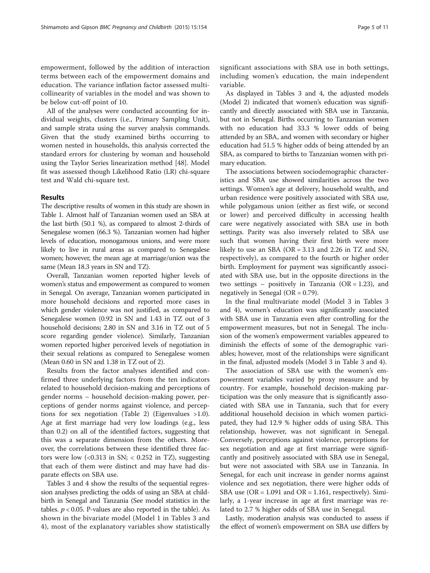empowerment, followed by the addition of interaction terms between each of the empowerment domains and education. The variance inflation factor assessed multicollinearity of variables in the model and was shown to be below cut-off point of 10.

All of the analyses were conducted accounting for individual weights, clusters (i.e., Primary Sampling Unit), and sample strata using the survey analysis commands. Given that the study examined births occurring to women nested in households, this analysis corrected the standard errors for clustering by woman and household using the Taylor Series linearization method [[48\]](#page-10-0). Model fit was assessed though Likelihood Ratio (LR) chi-square test and Wald chi-square test.

#### Results

The descriptive results of women in this study are shown in Table [1.](#page-5-0) Almost half of Tanzanian women used an SBA at the last birth (50.1 %), as compared to almost 2-thirds of Senegalese women (66.3 %). Tanzanian women had higher levels of education, monogamous unions, and were more likely to live in rural areas as compared to Senegalese women; however, the mean age at marriage/union was the same (Mean 18.3 years in SN and TZ).

Overall, Tanzanian women reported higher levels of women's status and empowerment as compared to women in Senegal. On average, Tanzanian women participated in more household decisions and reported more cases in which gender violence was not justified, as compared to Senegalese women (0.92 in SN and 1.43 in TZ out of 3 household decisions; 2.80 in SN and 3.16 in TZ out of 5 score regarding gender violence). Similarly, Tanzanian women reported higher perceived levels of negotiation in their sexual relations as compared to Senegalese women (Mean 0.60 in SN and 1.38 in TZ out of 2).

Results from the factor analyses identified and confirmed three underlying factors from the ten indicators related to household decision-making and perceptions of gender norms – household decision-making power, perceptions of gender norms against violence, and perceptions for sex negotiation (Table [2\)](#page-6-0) (Eigenvalues >1.0). Age at first marriage had very low loadings (e.g., less than 0.2) on all of the identified factors, suggesting that this was a separate dimension from the others. Moreover, the correlations between these identified three factors were low  $\langle$  <0.313 in SN;  $\langle$  0.252 in TZ), suggesting that each of them were distinct and may have had disparate effects on SBA use.

Tables [3](#page-7-0) and [4](#page-8-0) show the results of the sequential regression analyses predicting the odds of using an SBA at childbirth in Senegal and Tanzania (See model statistics in the tables.  $p < 0.05$ . P-values are also reported in the table). As shown in the bivariate model (Model 1 in Tables [3](#page-7-0) and [4\)](#page-8-0), most of the explanatory variables show statistically

significant associations with SBA use in both settings, including women's education, the main independent variable.

As displayed in Tables [3](#page-7-0) and [4](#page-8-0), the adjusted models (Model 2) indicated that women's education was significantly and directly associated with SBA use in Tanzania, but not in Senegal. Births occurring to Tanzanian women with no education had 33.3 % lower odds of being attended by an SBA, and women with secondary or higher education had 51.5 % higher odds of being attended by an SBA, as compared to births to Tanzanian women with primary education.

The associations between sociodemographic characteristics and SBA use showed similarities across the two settings. Women's age at delivery, household wealth, and urban residence were positively associated with SBA use, while polygamous union (either as first wife, or second or lower) and perceived difficulty in accessing health care were negatively associated with SBA use in both settings. Parity was also inversely related to SBA use such that women having their first birth were more likely to use an SBA ( $OR = 3.13$  and 2.26 in TZ and SN, respectively), as compared to the fourth or higher order birth. Employment for payment was significantly associated with SBA use, but in the opposite directions in the two settings – positively in Tanzania ( $OR = 1.23$ ), and negatively in Senegal ( $OR = 0.79$ ).

In the final multivariate model (Model 3 in Tables [3](#page-7-0) and [4](#page-8-0)), women's education was significantly associated with SBA use in Tanzania even after controlling for the empowerment measures, but not in Senegal. The inclusion of the women's empowerment variables appeared to diminish the effects of some of the demographic variables; however, most of the relationships were significant in the final, adjusted models (Model 3 in Table [3](#page-7-0) and [4](#page-8-0)).

The association of SBA use with the women's empowerment variables varied by proxy measure and by country. For example, household decision-making participation was the only measure that is significantly associated with SBA use in Tanzania, such that for every additional household decision in which women participated, they had 12.9 % higher odds of using SBA. This relationship, however, was not significant in Senegal. Conversely, perceptions against violence, perceptions for sex negotiation and age at first marriage were significantly and positively associated with SBA use in Senegal, but were not associated with SBA use in Tanzania. In Senegal, for each unit increase in gender norms against violence and sex negotiation, there were higher odds of SBA use ( $OR = 1.091$  and  $OR = 1.161$ , respectively). Similarly, a 1-year increase in age at first marriage was related to 2.7 % higher odds of SBA use in Senegal.

Lastly, moderation analysis was conducted to assess if the effect of women's empowerment on SBA use differs by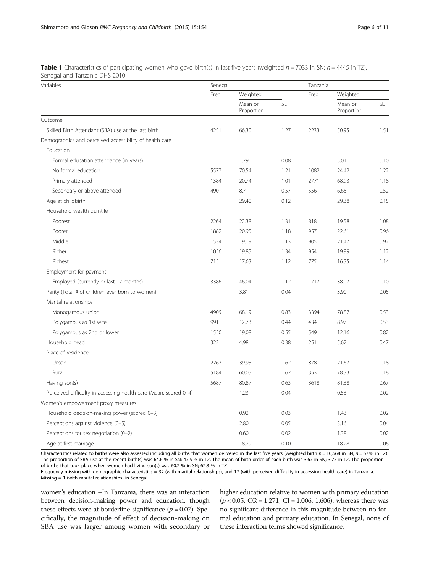| Variables                                                        | Senegal |                       |      | Tanzania |                       |      |  |
|------------------------------------------------------------------|---------|-----------------------|------|----------|-----------------------|------|--|
|                                                                  | Freq    | Weighted              |      | Freq     | Weighted              |      |  |
|                                                                  |         | Mean or<br>Proportion | SE   |          | Mean or<br>Proportion | SE   |  |
| Outcome                                                          |         |                       |      |          |                       |      |  |
| Skilled Birth Attendant (SBA) use at the last birth              | 4251    | 66.30                 | 1.27 | 2233     | 50.95                 | 1.51 |  |
| Demographics and perceived accessibility of health care          |         |                       |      |          |                       |      |  |
| Education                                                        |         |                       |      |          |                       |      |  |
| Formal education attendance (in years)                           |         | 1.79                  | 0.08 |          | 5.01                  | 0.10 |  |
| No formal education                                              | 5577    | 70.54                 | 1.21 | 1082     | 24.42                 | 1.22 |  |
| Primary attended                                                 | 1384    | 20.74                 | 1.01 | 2771     | 68.93                 | 1.18 |  |
| Secondary or above attended                                      | 490     | 8.71                  | 0.57 | 556      | 6.65                  | 0.52 |  |
| Age at childbirth                                                |         | 29.40                 | 0.12 |          | 29.38                 | 0.15 |  |
| Household wealth quintile                                        |         |                       |      |          |                       |      |  |
| Poorest                                                          | 2264    | 22.38                 | 1.31 | 818      | 19.58                 | 1.08 |  |
| Poorer                                                           | 1882    | 20.95                 | 1.18 | 957      | 22.61                 | 0.96 |  |
| Middle                                                           | 1534    | 19.19                 | 1.13 | 905      | 21.47                 | 0.92 |  |
| Richer                                                           | 1056    | 19.85                 | 1.34 | 954      | 19.99                 | 1.12 |  |
| Richest                                                          | 715     | 17.63                 | 1.12 | 775      | 16.35                 | 1.14 |  |
| Employment for payment                                           |         |                       |      |          |                       |      |  |
| Employed (currently or last 12 months)                           | 3386    | 46.04                 | 1.12 | 1717     | 38.07                 | 1.10 |  |
| Parity (Total # of children ever born to women)                  |         | 3.81                  | 0.04 |          | 3.90                  | 0.05 |  |
| Marital relationships                                            |         |                       |      |          |                       |      |  |
| Monogamous union                                                 | 4909    | 68.19                 | 0.83 | 3394     | 78.87                 | 0.53 |  |
| Polygamous as 1st wife                                           | 991     | 12.73                 | 0.44 | 434      | 8.97                  | 0.53 |  |
| Polygamous as 2nd or lower                                       | 1550    | 19.08                 | 0.55 | 549      | 12.16                 | 0.82 |  |
| Household head                                                   | 322     | 4.98                  | 0.38 | 251      | 5.67                  | 0.47 |  |
| Place of residence                                               |         |                       |      |          |                       |      |  |
| Urban                                                            | 2267    | 39.95                 | 1.62 | 878      | 21.67                 | 1.18 |  |
| Rural                                                            | 5184    | 60.05                 | 1.62 | 3531     | 78.33                 | 1.18 |  |
| Having son(s)                                                    | 5687    | 80.87                 | 0.63 | 3618     | 81.38                 | 0.67 |  |
| Perceived difficulty in accessing health care (Mean, scored 0-4) |         | 1.23                  | 0.04 |          | 0.53                  | 0.02 |  |
| Women's empowerment proxy measures                               |         |                       |      |          |                       |      |  |
| Household decision-making power (scored 0-3)                     |         | 0.92                  | 0.03 |          | 1.43                  | 0.02 |  |
| Perceptions against violence (0-5)                               |         | 2.80                  | 0.05 |          | 3.16                  | 0.04 |  |
| Perceptions for sex negotiation (0-2)                            |         | 0.60                  | 0.02 |          | 1.38                  | 0.02 |  |
| Age at first marriage                                            |         | 18.29                 | 0.10 |          | 18.28                 | 0.06 |  |

<span id="page-5-0"></span>**Table 1** Characteristics of participating women who gave birth(s) in last five years (weighted  $n = 7033$  in SN;  $n = 4445$  in TZ), Senegal and Tanzania DHS 2010

Characteristics related to births were also assessed including all births that women delivered in the last five years (weighted birth  $n = 10,668$  in SN;  $n = 6748$  in TZ). The proportion of SBA use at the recent birth(s) was 64.6 % in SN; 47.5 % in TZ. The mean of birth order of each birth was 3.67 in SN; 3.75 in TZ. The proportion of births that took place when women had living son(s) was 60.2 % in SN; 62.3 % in TZ

Frequency missing with demographic characteristics = 32 (with marital relationships), and 17 (with perceived difficulty in accessing health care) in Tanzania. Missing = 1 (with marital relationships) in Senegal

women's education –In Tanzania, there was an interaction between decision-making power and education, though these effects were at borderline significance ( $p = 0.07$ ). Specifically, the magnitude of effect of decision-making on SBA use was larger among women with secondary or

higher education relative to women with primary education  $(p < 0.05, \text{ OR } = 1.271, \text{ CI } = 1.006, 1.606)$ , whereas there was no significant difference in this magnitude between no formal education and primary education. In Senegal, none of these interaction terms showed significance.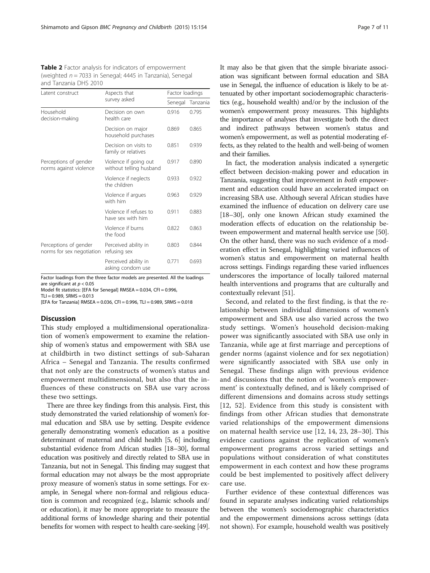<span id="page-6-0"></span>Table 2 Factor analysis for indicators of empowerment (weighted  $n = 7033$  in Senegal; 4445 in Tanzania), Senegal and Tanzania DHS 2010

| Latent construct                                   | Aspects that                                     | Factor loadings |          |  |  |
|----------------------------------------------------|--------------------------------------------------|-----------------|----------|--|--|
|                                                    | survey asked                                     | Senegal         | Tanzania |  |  |
| Household<br>decision-making                       | Decision on own<br>health care                   | 0.916           | 0.795    |  |  |
|                                                    | Decision on major<br>household purchases         | 0.869           | 0.865    |  |  |
|                                                    | Decision on visits to<br>family or relatives     | 0.851           | 0.939    |  |  |
| Perceptions of gender<br>norms against violence    | Violence if going out<br>without telling husband | 0.917           | 0.890    |  |  |
|                                                    | Violence if neglects<br>the children             | 0.933           | 0.922    |  |  |
|                                                    | Violence if argues<br>with him                   | 0.963           | 0.929    |  |  |
|                                                    | Violence if refuses to<br>have sex with him      | 0.911           | 0.883    |  |  |
|                                                    | Violence if burns<br>the food                    | 0.822           | 0.863    |  |  |
| Perceptions of gender<br>norms for sex negotiation | Perceived ability in<br>refusing sex             | 0.803           | 0.844    |  |  |
|                                                    | Perceived ability in<br>asking condom use        | 0.771           | 0.693    |  |  |

Factor loadings from the three factor models are presented. All the loadings are significant at  $p < 0.05$ 

Model fit statistics: [EFA for Senegal] RMSEA = 0.034, CFI = 0.996,

 $TLI = 0.989$ ,  $SRMS = 0.013$ [EFA for Tanzania] RMSEA =  $0.036$ , CFI =  $0.996$ , TLI =  $0.989$ , SRMS =  $0.018$ 

#### **Discussion**

This study employed a multidimensional operationalization of women's empowerment to examine the relationship of women's status and empowerment with SBA use at childbirth in two distinct settings of sub-Saharan Africa – Senegal and Tanzania. The results confirmed that not only are the constructs of women's status and empowerment multidimensional, but also that the influences of these constructs on SBA use vary across these two settings.

There are three key findings from this analysis. First, this study demonstrated the varied relationship of women's formal education and SBA use by setting. Despite evidence generally demonstrating women's education as a positive determinant of maternal and child health [[5](#page-9-0), [6\]](#page-9-0) including substantial evidence from African studies [\[18](#page-10-0)–[30\]](#page-10-0), formal education was positively and directly related to SBA use in Tanzania, but not in Senegal. This finding may suggest that formal education may not always be the most appropriate proxy measure of women's status in some settings. For example, in Senegal where non-formal and religious education is common and recognized (e.g., Islamic schools and/ or education), it may be more appropriate to measure the additional forms of knowledge sharing and their potential benefits for women with respect to health care-seeking [\[49](#page-10-0)]. It may also be that given that the simple bivariate association was significant between formal education and SBA use in Senegal, the influence of education is likely to be attenuated by other important sociodemographic characteristics (e.g., household wealth) and/or by the inclusion of the women's empowerment proxy measures. This highlights the importance of analyses that investigate both the direct and indirect pathways between women's status and women's empowerment, as well as potential moderating effects, as they related to the health and well-being of women and their families.

In fact, the moderation analysis indicated a synergetic effect between decision-making power and education in Tanzania, suggesting that improvement in both empowerment and education could have an accelerated impact on increasing SBA use. Although several African studies have examined the influence of education on delivery care use [[18](#page-10-0)–[30\]](#page-10-0), only one known African study examined the moderation effects of education on the relationship between empowerment and maternal health service use [[50](#page-10-0)]. On the other hand, there was no such evidence of a moderation effect in Senegal, highlighting varied influences of women's status and empowerment on maternal health across settings. Findings regarding these varied influences underscores the importance of locally tailored maternal health interventions and programs that are culturally and contextually relevant [[51](#page-10-0)].

Second, and related to the first finding, is that the relationship between individual dimensions of women's empowerment and SBA use also varied across the two study settings. Women's household decision-making power was significantly associated with SBA use only in Tanzania, while age at first marriage and perceptions of gender norms (against violence and for sex negotiation) were significantly associated with SBA use only in Senegal. These findings align with previous evidence and discussions that the notion of 'women's empowerment' is contextually defined, and is likely comprised of different dimensions and domains across study settings [[12,](#page-9-0) [52](#page-10-0)]. Evidence from this study is consistent with findings from other African studies that demonstrate varied relationships of the empowerment dimensions on maternal health service use [\[12](#page-9-0), [14, 23](#page-10-0), [28](#page-10-0)–[30\]](#page-10-0). This evidence cautions against the replication of women's empowerment programs across varied settings and populations without consideration of what constitutes empowerment in each context and how these programs could be best implemented to positively affect delivery care use.

Further evidence of these contextual differences was found in separate analyses indicating varied relationships between the women's sociodemographic characteristics and the empowerment dimensions across settings (data not shown). For example, household wealth was positively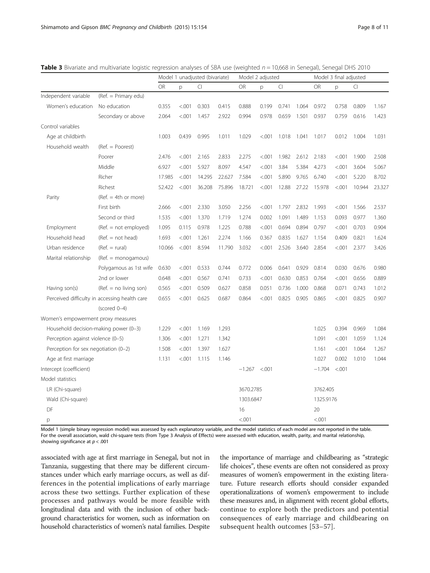<span id="page-7-0"></span>Table 3 Bivariate and multivariate logistic regression analyses of SBA use (weighted  $n = 10,668$  in Senegal), Senegal DHS 2010

|                                       |                                               | Model 1 unadjusted (bivariate) |         |        | Model 2 adjusted |           |         |       | Model 3 final adjusted |           |         |        |        |
|---------------------------------------|-----------------------------------------------|--------------------------------|---------|--------|------------------|-----------|---------|-------|------------------------|-----------|---------|--------|--------|
|                                       |                                               | <b>OR</b>                      | p       | CI     |                  | OR        | p       | CI    |                        | OR        | р       | CI     |        |
| Independent variable                  | (Ref. = Primary edu)                          |                                |         |        |                  |           |         |       |                        |           |         |        |        |
| Women's education                     | No education                                  | 0.355                          | < 0.001 | 0.303  | 0.415            | 0.888     | 0.199   | 0.741 | 1.064                  | 0.972     | 0.758   | 0.809  | 1.167  |
|                                       | Secondary or above                            | 2.064                          | < .001  | 1.457  | 2.922            | 0.994     | 0.978   | 0.659 | 1.501                  | 0.937     | 0.759   | 0.616  | 1.423  |
| Control variables                     |                                               |                                |         |        |                  |           |         |       |                        |           |         |        |        |
| Age at childbirth                     |                                               | 1.003                          | 0.439   | 0.995  | 1.011            | 1.029     | < .001  | 1.018 | 1.041                  | 1.017     | 0.012   | 1.004  | 1.031  |
| Household wealth                      | $(Ref. = Poorest)$                            |                                |         |        |                  |           |         |       |                        |           |         |        |        |
|                                       | Poorer                                        | 2.476                          | < .001  | 2.165  | 2.833            | 2.275     | < .001  | 1.982 | 2.612                  | 2.183     | < .001  | 1.900  | 2.508  |
|                                       | Middle                                        | 6.927                          | < .001  | 5.927  | 8.097            | 4.547     | < .001  | 3.84  | 5.384                  | 4.273     | < 0.001 | 3.604  | 5.067  |
|                                       | Richer                                        | 17.985                         | < .001  | 14.295 | 22.627           | 7.584     | < .001  | 5.890 | 9.765                  | 6.740     | < .001  | 5.220  | 8.702  |
|                                       | Richest                                       | 52.422                         | < .001  | 36.208 | 75.896           | 18.721    | < .001  | 12.88 | 27.22                  | 15.978    | < .001  | 10.944 | 23.327 |
| Parity                                | $(Ref. = 4th or more)$                        |                                |         |        |                  |           |         |       |                        |           |         |        |        |
|                                       | First birth                                   | 2.666                          | < .001  | 2.330  | 3.050            | 2.256     | < .001  | 1.797 | 2.832                  | 1.993     | < .001  | 1.566  | 2.537  |
|                                       | Second or third                               | 1.535                          | < .001  | 1.370  | 1.719            | 1.274     | 0.002   | 1.091 | 1.489                  | 1.153     | 0.093   | 0.977  | 1.360  |
| Employment                            | $(Ref. = not employed)$                       | 1.095                          | 0.115   | 0.978  | 1.225            | 0.788     | < .001  | 0.694 | 0.894                  | 0.797     | < 0.001 | 0.703  | 0.904  |
| Household head                        | $(Ref. = not head)$                           | 1.693                          | < .001  | 1.261  | 2.274            | 1.166     | 0.367   | 0.835 | 1.627                  | 1.154     | 0.409   | 0.821  | 1.624  |
| Urban residence                       | $(Ref. = rural)$                              | 10.066                         | < .001  | 8.594  | 11.790           | 3.032     | < .001  | 2.526 | 3.640                  | 2.854     | < 0.001 | 2.377  | 3.426  |
| Marital relationship                  | $(Ref. = monogamous)$                         |                                |         |        |                  |           |         |       |                        |           |         |        |        |
|                                       | Polygamous as 1st wife                        | 0.630                          | < 0.001 | 0.533  | 0.744            | 0.772     | 0.006   | 0.641 | 0.929                  | 0.814     | 0.030   | 0.676  | 0.980  |
|                                       | 2nd or lower                                  | 0.648                          | < .001  | 0.567  | 0.741            | 0.733     | < .001  | 0.630 | 0.853                  | 0.764     | < .001  | 0.656  | 0.889  |
| Having son(s)                         | $(Ref. = no living son)$                      | 0.565                          | < .001  | 0.509  | 0.627            | 0.858     | 0.051   | 0.736 | 1.000                  | 0.868     | 0.071   | 0.743  | 1.012  |
|                                       | Perceived difficulty in accessing health care | 0.655                          | < .001  | 0.625  | 0.687            | 0.864     | < .001  | 0.825 | 0.905                  | 0.865     | < .001  | 0.825  | 0.907  |
|                                       | $(scored 0-4)$                                |                                |         |        |                  |           |         |       |                        |           |         |        |        |
| Women's empowerment proxy measures    |                                               |                                |         |        |                  |           |         |       |                        |           |         |        |        |
| Household decision-making power (0-3) |                                               | 1.229                          | < .001  | 1.169  | 1.293            |           |         |       |                        | 1.025     | 0.394   | 0.969  | 1.084  |
| Perception against violence (0-5)     |                                               | 1.306                          | < .001  | 1.271  | 1.342            |           |         |       |                        | 1.091     | < 0.001 | 1.059  | 1.124  |
| Perception for sex negotiation (0-2)  |                                               | 1.508                          | < .001  | 1.397  | 1.627            |           |         |       |                        | 1.161     | < .001  | 1.064  | 1.267  |
| Age at first marriage                 |                                               | 1.131                          | < .001  | 1.115  | 1.146            |           |         |       |                        | 1.027     | 0.002   | 1.010  | 1.044  |
| Intercept (coefficient)               |                                               |                                |         |        |                  | $-1.267$  | < 0.001 |       |                        | $-1.704$  | < 0.001 |        |        |
| Model statistics                      |                                               |                                |         |        |                  |           |         |       |                        |           |         |        |        |
| LR (Chi-square)                       |                                               |                                |         |        |                  | 3670.2785 |         |       |                        | 3762.405  |         |        |        |
| Wald (Chi-square)                     |                                               |                                |         |        |                  | 1303.6847 |         |       |                        | 1325.9176 |         |        |        |
| DF                                    |                                               |                                |         |        |                  | 16        |         |       |                        | 20        |         |        |        |
| p                                     |                                               |                                |         |        |                  | < .001    |         |       |                        | < 0.001   |         |        |        |

Model 1 (simple binary regression model) was assessed by each explanatory variable, and the model statistics of each model are not reported in the table. For the overall association, wald chi-square tests (from Type 3 Analysis of Effects) were assessed with education, wealth, parity, and marital relationship, showing significance at  $p < .001$ 

associated with age at first marriage in Senegal, but not in Tanzania, suggesting that there may be different circumstances under which early marriage occurs, as well as differences in the potential implications of early marriage across these two settings. Further explication of these processes and pathways would be more feasible with longitudinal data and with the inclusion of other background characteristics for women, such as information on household characteristics of women's natal families. Despite

the importance of marriage and childbearing as "strategic life choices", these events are often not considered as proxy measures of women's empowerment in the existing literature. Future research efforts should consider expanded operationalizations of women's empowerment to include these measures and, in alignment with recent global efforts, continue to explore both the predictors and potential consequences of early marriage and childbearing on subsequent health outcomes [[53](#page-10-0)–[57\]](#page-10-0).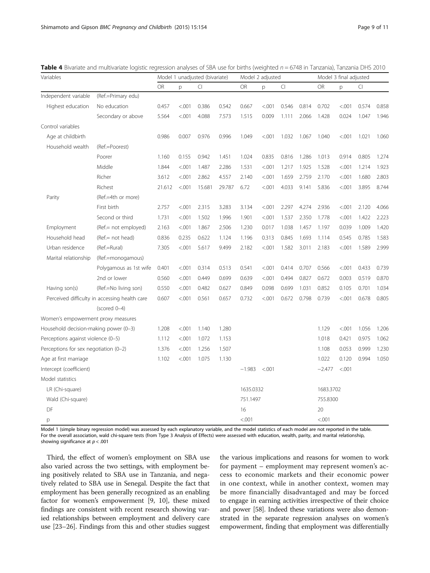<span id="page-8-0"></span>

| Variables                             |                                               | Model 1 unadjusted (bivariate) |         |        |        | Model 2 adjusted |         |       |       | Model 3 final adjusted |        |       |       |
|---------------------------------------|-----------------------------------------------|--------------------------------|---------|--------|--------|------------------|---------|-------|-------|------------------------|--------|-------|-------|
|                                       |                                               | <b>OR</b>                      | p       | CI     |        | <b>OR</b>        | p       | CI    |       | <b>OR</b>              | p      | CI    |       |
| Independent variable                  | (Ref.=Primary edu)                            |                                |         |        |        |                  |         |       |       |                        |        |       |       |
| Highest education                     | No education                                  | 0.457                          | < .001  | 0.386  | 0.542  | 0.667            | < 0.001 | 0.546 | 0.814 | 0.702                  | < .001 | 0.574 | 0.858 |
|                                       | Secondary or above                            | 5.564                          | < .001  | 4.088  | 7.573  | 1.515            | 0.009   | 1.111 | 2.066 | 1.428                  | 0.024  | 1.047 | 1.946 |
| Control variables                     |                                               |                                |         |        |        |                  |         |       |       |                        |        |       |       |
| Age at childbirth                     |                                               | 0.986                          | 0.007   | 0.976  | 0.996  | 1.049            | < .001  | 1.032 | 1.067 | 1.040                  | < .001 | 1.021 | 1.060 |
| Household wealth                      | (Ref.=Poorest)                                |                                |         |        |        |                  |         |       |       |                        |        |       |       |
|                                       | Poorer                                        | 1.160                          | 0.155   | 0.942  | 1.451  | 1.024            | 0.835   | 0.816 | 1.286 | 1.013                  | 0.914  | 0.805 | 1.274 |
|                                       | Middle                                        | 1.844                          | < .001  | 1.487  | 2.286  | 1.531            | < .001  | 1.217 | 1.925 | 1.528                  | < .001 | 1.214 | 1.923 |
|                                       | Richer                                        | 3.612                          | < .001  | 2.862  | 4.557  | 2.140            | < .001  | 1.659 | 2.759 | 2.170                  | < .001 | 1.680 | 2.803 |
|                                       | Richest                                       | 21.612                         | < .001  | 15.681 | 29.787 | 6.72             | < .001  | 4.033 | 9.141 | 5.836                  | < .001 | 3.895 | 8.744 |
| Parity                                | (Ref.=4th or more)                            |                                |         |        |        |                  |         |       |       |                        |        |       |       |
|                                       | First birth                                   | 2.757                          | < .001  | 2.315  | 3.283  | 3.134            | < .001  | 2.297 | 4.274 | 2.936                  | < .001 | 2.120 | 4.066 |
|                                       | Second or third                               | 1.731                          | < .001  | 1.502  | 1.996  | 1.901            | < .001  | 1.537 | 2.350 | 1.778                  | < .001 | 1.422 | 2.223 |
| Employment                            | (Ref.= not employed)                          | 2.163                          | < .001  | 1.867  | 2.506  | 1.230            | 0.017   | 1.038 | 1.457 | 1.197                  | 0.039  | 1.009 | 1.420 |
| Household head                        | (Ref.= not head)                              | 0.836                          | 0.235   | 0.622  | 1.124  | 1.196            | 0.313   | 0.845 | 1.693 | 1.114                  | 0.545  | 0.785 | 1.583 |
| Urban residence                       | (Ref.=Rural)                                  | 7.305                          | < .001  | 5.617  | 9.499  | 2.182            | < .001  | 1.582 | 3.011 | 2.183                  | < .001 | 1.589 | 2.999 |
| Marital relationship                  | (Ref.=monogamous)                             |                                |         |        |        |                  |         |       |       |                        |        |       |       |
|                                       | Polygamous as 1st wife                        | 0.401                          | < .001  | 0.314  | 0.513  | 0.541            | < .001  | 0.414 | 0.707 | 0.566                  | < .001 | 0.433 | 0.739 |
|                                       | 2nd or lower                                  | 0.560                          | < 0.001 | 0.449  | 0.699  | 0.639            | < .001  | 0.494 | 0.827 | 0.672                  | 0.003  | 0.519 | 0.870 |
| Having son(s)                         | (Ref.=No living son)                          | 0.550                          | < .001  | 0.482  | 0.627  | 0.849            | 0.098   | 0.699 | 1.031 | 0.852                  | 0.105  | 0.701 | 1.034 |
|                                       | Perceived difficulty in accessing health care | 0.607                          | < .001  | 0.561  | 0.657  | 0.732            | < .001  | 0.672 | 0.798 | 0.739                  | < .001 | 0.678 | 0.805 |
|                                       | (scored 0-4)                                  |                                |         |        |        |                  |         |       |       |                        |        |       |       |
| Women's empowerment proxy measures    |                                               |                                |         |        |        |                  |         |       |       |                        |        |       |       |
| Household decision-making power (0-3) |                                               | 1.208                          | < .001  | 1.140  | 1.280  |                  |         |       |       | 1.129                  | < .001 | 1.056 | 1.206 |
| Perceptions against violence (0-5)    |                                               | 1.112                          | < .001  | 1.072  | 1.153  |                  |         |       |       | 1.018                  | 0.421  | 0.975 | 1.062 |
| Perceptions for sex negotiation (0-2) |                                               | 1.376                          | < .001  | 1.256  | 1.507  |                  |         |       |       | 1.108                  | 0.053  | 0.999 | 1.230 |
| Age at first marriage                 |                                               | 1.102                          | < .001  | 1.075  | 1.130  |                  |         |       |       | 1.022                  | 0.120  | 0.994 | 1.050 |
| Intercept (coefficient)               |                                               |                                |         |        |        | $-1.983$         | < 0.001 |       |       | $-2.477$               | < .001 |       |       |
| Model statistics                      |                                               |                                |         |        |        |                  |         |       |       |                        |        |       |       |
| LR (Chi-square)                       |                                               |                                |         |        |        | 1635.0332        |         |       |       | 1683.3702              |        |       |       |
| Wald (Chi-square)                     |                                               |                                |         |        |        | 751.1497         |         |       |       | 755.8300               |        |       |       |
| DF                                    |                                               |                                |         |        |        | 16               |         |       |       | 20                     |        |       |       |
| p                                     |                                               |                                |         |        |        | < 0.001          |         |       |       | < .001                 |        |       |       |

Model 1 (simple binary regression model) was assessed by each explanatory variable, and the model statistics of each model are not reported in the table. For the overall association, wald chi-square tests (from Type 3 Analysis of Effects) were assessed with education, wealth, parity, and marital relationship, showing significance at  $p < .001$ 

Third, the effect of women's employment on SBA use also varied across the two settings, with employment being positively related to SBA use in Tanzania, and negatively related to SBA use in Senegal. Despite the fact that employment has been generally recognized as an enabling factor for women's empowerment [[9, 10](#page-9-0)], these mixed findings are consistent with recent research showing varied relationships between employment and delivery care use [\[23](#page-10-0)–[26](#page-10-0)]. Findings from this and other studies suggest

the various implications and reasons for women to work for payment – employment may represent women's access to economic markets and their economic power in one context, while in another context, women may be more financially disadvantaged and may be forced to engage in earning activities irrespective of their choice and power [[58\]](#page-10-0). Indeed these variations were also demonstrated in the separate regression analyses on women's empowerment, finding that employment was differentially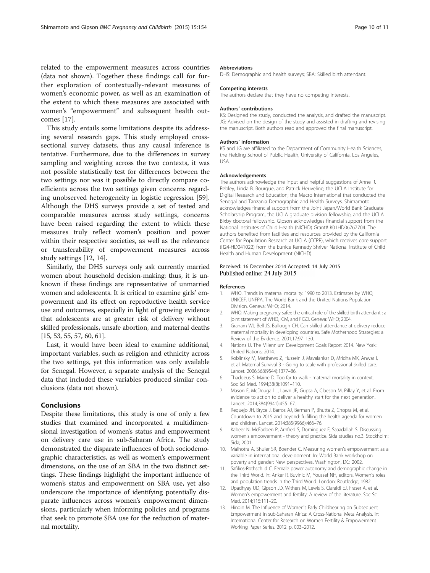<span id="page-9-0"></span>related to the empowerment measures across countries (data not shown). Together these findings call for further exploration of contextually-relevant measures of women's economic power, as well as an examination of the extent to which these measures are associated with women's "empowerment" and subsequent health outcomes [\[17](#page-10-0)].

This study entails some limitations despite its addressing several research gaps. This study employed crosssectional survey datasets, thus any causal inference is tentative. Furthermore, due to the differences in survey sampling and weighting across the two contexts, it was not possible statistically test for differences between the two settings nor was it possible to directly compare coefficients across the two settings given concerns regarding unobserved heterogeneity in logistic regression [\[59](#page-10-0)]. Although the DHS surveys provide a set of tested and comparable measures across study settings, concerns have been raised regarding the extent to which these measures truly reflect women's position and power within their respective societies, as well as the relevance or transferability of empowerment measures across study settings [12, [14](#page-10-0)].

Similarly, the DHS surveys only ask currently married women about household decision-making; thus, it is unknown if these findings are representative of unmarried women and adolescents. It is critical to examine girls' empowerment and its effect on reproductive health service use and outcomes, especially in light of growing evidence that adolescents are at greater risk of delivery without skilled professionals, unsafe abortion, and maternal deaths [[15](#page-10-0), [53, 55](#page-10-0), [57](#page-10-0), [60, 61](#page-10-0)].

Last, it would have been ideal to examine additional, important variables, such as religion and ethnicity across the two settings, yet this information was only available for Senegal. However, a separate analysis of the Senegal data that included these variables produced similar conclusions (data not shown).

#### Conclusions

Despite these limitations, this study is one of only a few studies that examined and incorporated a multidimensional investigation of women's status and empowerment on delivery care use in sub-Saharan Africa. The study demonstrated the disparate influences of both sociodemographic characteristics, as well as women's empowerment dimensions, on the use of an SBA in the two distinct settings. These findings highlight the important influence of women's status and empowerment on SBA use, yet also underscore the importance of identifying potentially disparate influences across women's empowerment dimensions, particularly when informing policies and programs that seek to promote SBA use for the reduction of maternal mortality.

#### **Abbreviations**

DHS: Demographic and health surveys; SBA: Skilled birth attendant.

#### Competing interests

The authors declare that they have no competing interests.

#### Authors' contributions

KS: Designed the study, conducted the analysis, and drafted the manuscript. JG: Advised on the design of the study and assisted in drafting and revising the manuscript. Both authors read and approved the final manuscript.

#### Authors' information

KS and JG are affiliated to the Department of Community Health Sciences, the Fielding School of Public Health, University of California, Los Angeles, USA.

#### Acknowledgements

The authors acknowledge the input and helpful suggestions of Anne R. Pebley, Linda B. Bourque, and Patrick Heuveline; the UCLA Institute for Digital Research and Education; the Macro International that conducted the Senegal and Tanzania Demographic and Health Surveys. Shimamoto acknowledges financial support from the Joint Japan/World Bank Graduate Scholarship Program, the UCLA graduate division fellowship, and the UCLA Bixby doctoral fellowship. Gipson acknowledges financial support from the National Institutes of Child Health (NICHD) Grant# K01HD06767704. The authors benefited from facilities and resources provided by the California Center for Population Research at UCLA (CCPR), which receives core support (R24-HD041022) from the Eunice Kennedy Shriver National Institute of Child Health and Human Development (NICHD).

#### Received: 16 December 2014 Accepted: 14 July 2015 Published online: 24 July 2015

#### References

- 1. WHO. Trends in maternal mortality: 1990 to 2013. Estimates by WHO, UNICEF, UNFPA, The World Bank and the United Nations Population Division. Geneva: WHO; 2014.
- 2. WHO. Making pregnancy safer: the critical role of the skilled birth attendant : a joint statement of WHO, ICM, and FIGO. Geneva: WHO; 2004.
- 3. Graham WJ, Bell JS, Bullough CH. Can skilled attendance at delivery reduce maternal mortality in developing countries. Safe Motherhood Strategies: a Review of the Evidence. 2001;17:97–130.
- 4. Nations U. The Milennium Development Goals Report 2014. New York: United Nations; 2014.
- 5. Koblinsky M, Matthews Z, Hussein J, Mavalankar D, Mridha MK, Anwar I, et al. Maternal Survival 3 - Going to scale with professional skilled care. Lancet. 2006;368(9544):1377–86.
- 6. Thaddeus S, Maine D. Too far to walk maternal mortality in context. Soc Sci Med. 1994;38(8):1091–110.
- 7. Mason E, McDougall L, Lawn JE, Gupta A, Claeson M, Pillay Y, et al. From evidence to action to deliver a healthy start for the next generation. Lancet. 2014;384(9941):455–67.
- 8. Requejo JH, Bryce J, Barros AJ, Berman P, Bhutta Z, Chopra M, et al. Countdown to 2015 and beyond: fulfilling the health agenda for women and children. Lancet. 2014;385(9966):466–76.
- 9. Kabeer N, McFadden P, Arnfred S, Dominguez E, Saaadallah S. Discussing women's empowerment - theory and practice. Sida studies no.3. Stockholm: Sida; 2001.
- 10. Malhotra A, Shuler SR, Boender C. Measuring women's empowerment as a variable in international development. In: World Bank workshop on poverty and gender: New perspectives. Washington, DC: 2002.
- 11. Safilios-Rothschild C. Female power autonomy and demographic change in the Third World. In: Anker R, Buvinic M, Youssef NH, editors. Women's roles and population trends in the Third World. London: Routledge; 1982.
- 12. Upadhyay UD, Gipson JD, Withers M, Lewis S, Ciaraldi EJ, Fraser A, et al. Women's empowerment and fertility: A review of the literature. Soc Sci Med. 2014;115:111–20.
- 13. Hindin M. The Influence of Women's Early Childbearing on Subsequent Empowerment in sub-Saharan Africa: A Cross-National Meta Analysis. In: International Center for Research on Women Fertility & Empowerment Working Paper Series. 2012. p. 003–2012.